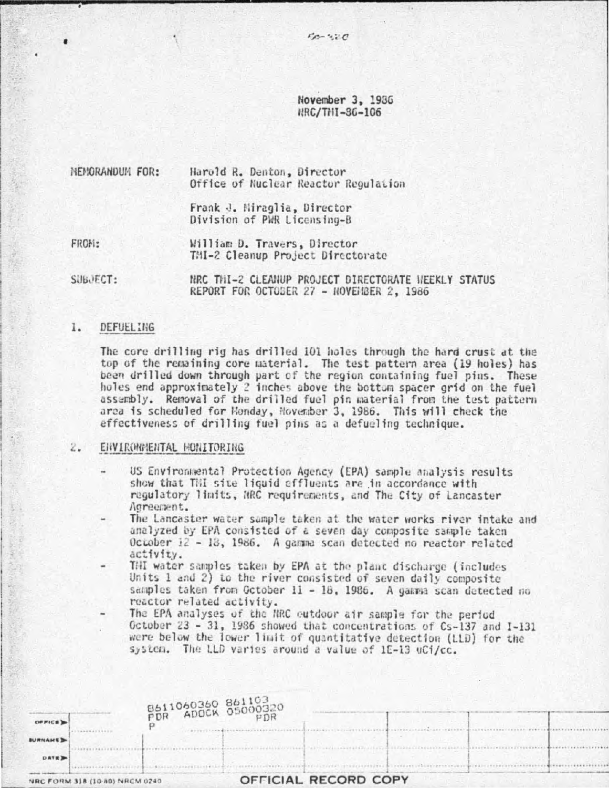November 3, 1936 HRC/THI-36-106

Harold R. Denton, Director NEMORANDUM FOR: Office of Nuclear Reactor Regulation

> Frank J. Miraglia, Director Division of PWR Licensing-B

FROM: William D. Travers, Director TMI-2 Cleanup Project Directorate

SUBJECT: NRC THI-2 CLEANUP PROJECT DIRECTORATE HEEKLY STATUS REPORT FOR OCTOBER 27 - NOVENBER 2, 1986

#### 1. DEFUELING

The core drilling rig has drilled 101 holes through the hard crust at the top of the remaining core material. The test pattern area (19 holes) has been drilled down through part of the region containing fuel pins. These holes end approximately 2 inches above the bottom spacer grid on the fuel assembly. Removal of the drilled fuel pin material from the test pattern area is scheduled for Honday, November 3, 1986. This will check the effectiveness of drilling fuel pins as a defueling technique.

#### $2.$ ENVIRONMENTAL MONITORING

- US Environmental Protection Agency (EPA) sample analysis results show that THI site liquid effluents are in accordance with regulatory limits, NRC requirements, and The City of Lancaster Agreement.
- The Lancaster water sample taken at the water works river intake and analyzed by EPA consisted of a seven day composite sample taken October 12 - 18, 1986. A gamma scan detected no reactor related activity.
- THI water samples taken by EPA at the plant discharge (includes Units 1 and 2) to the river consisted of seven daily composite samples taken from October 11 - 18, 1986. A gamma scan detected no reactor related activity.
	- The EPA analyses of the NRC outdoor air sample for the period October 23 - 31, 1986 showed that concentrations of Cs-137 and I-131 were below the lower limit of quantitative detection (LLD) for the system. The LLD varies around a value of 1E-13 uCi/cc.

.......

| OPFICE D                       | 8611060360 861103<br>PDR ADOCK 05000320 |                      |  |  |  |  |
|--------------------------------|-----------------------------------------|----------------------|--|--|--|--|
| <b>BURNAME</b>                 |                                         |                      |  |  |  |  |
| DATE D                         |                                         |                      |  |  |  |  |
| NRC FORM 318 (10-80) NRCM 0240 |                                         | OFFICIAL RECORD COPY |  |  |  |  |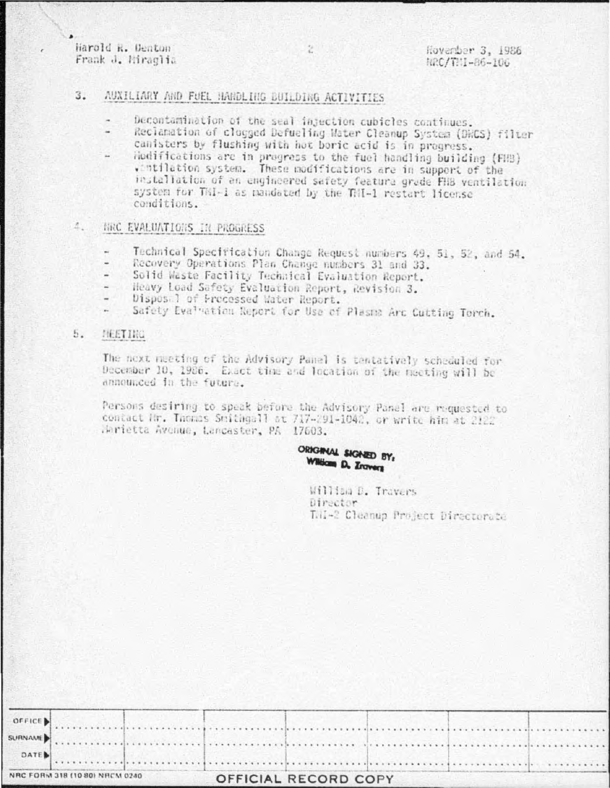Harold R. Denton Frank J. Miraglia

## $3.$ AUXILIARY AND FUEL HANDLING BUILDING ACTIVITIES

- Decontamination of the seal injection cubicles continues.
- Reclamation of clogged Defueling Mater Cleanup System (DWCS) filter canisters by flushing with hot boric acid is in progress.
- Hodifications are in progress to the fuel handling building (FHB) wintilation system. These modifications are in support of the installation of an engineered safety feature grade FHB ventilation system for TRI-1 as mandated by the TRI-1 restart license conditions.

# NRC EVALUATIONS IN PROGRESS  $\Lambda$ .

- Technical Specification Change Request numbers 49, 51, 52, and 54.
- Recovery Operations Plan Change numbers 31 and 33.
- Solid Waste Facility Technical Evaluation Report.
- Heavy Load Safety Evaluation Report, Revision 3.
- Dispos 1 of Processed Water Report.
- Safety Evaluation Report for Use of Plasma Arc Cuttino Torch. u.

### $5.$ MEETING

The next neeting of the Advisory Panel is tentatively scheduled for December 10, 1986. Exact time and location of the meeting will be announced in the future.

Persons desiring to speak before the Advisory Panel are requested to contact Nr. Thomas Smithgall at 717-291-1042, or write him at 2122 Marietta Avenue, Lancaster, PA 17603.

> ORIGINAL SIGNED BY: William D. Erovers

> > William D. Travers Director LH-2 Cleanup Project Directorate

| DATE |                                |  |                      |  |  |
|------|--------------------------------|--|----------------------|--|--|
|      | NRC FORM 318 (10 80) NRCM 0240 |  | OFFICIAL RECORD COPY |  |  |

ż